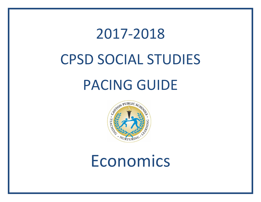## 2017-2018 CPSD SOCIAL STUDIES PACING GUIDE



## Economics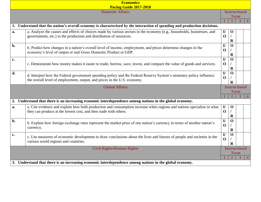|    | <b>Economics</b>                                                                                                          |                      |                      |   |  |
|----|---------------------------------------------------------------------------------------------------------------------------|----------------------|----------------------|---|--|
|    | Pacing Guide 2017-2018                                                                                                    |                      |                      |   |  |
|    | <b>Domestic Affairs</b>                                                                                                   |                      | <b>Instructional</b> |   |  |
|    |                                                                                                                           |                      | <b>Term</b>          |   |  |
|    |                                                                                                                           |                      |                      | 3 |  |
|    | 1. Understand that the nation's overall economy is characterized by the interaction of spending and production decisions. |                      |                      |   |  |
| a. | a. Analyze the causes and effects of choices made by various sectors in the economy (e.g., households, businesses, and    | $\mathbf{I}/$        | $\mathbf 0$          |   |  |
|    | governments, etc.) in the production and distribution of resources.                                                       | $\mathbf 0$          |                      |   |  |
|    |                                                                                                                           |                      | $\mathbf R$          |   |  |
| b. | b. Predict how changes in a nation's overall level of income, employment, and prices determine changes in the             | $\mathbf{I}/$        | $\mathbf{O}$         |   |  |
|    | economy's level of output or real Gross Domestic Product or GDP.                                                          | $\mathbf 0$          |                      |   |  |
|    |                                                                                                                           |                      | $\mathbf R$          |   |  |
| c. | c. Demonstrate how money makes it easier to trade, borrow, save, invest, and compare the value of goods and services.     | $\mathbf{I}/$        | $\mathbf{O}$         |   |  |
|    |                                                                                                                           | $\mathbf 0$          |                      |   |  |
|    |                                                                                                                           |                      | $\mathbf R$          |   |  |
| d. | d. Interpret how the Federal government spending policy and the Federal Reserve System's monetary policy influence        | $\mathbf{I}/$        | $\mathbf 0$          |   |  |
|    | the overall level of employment, output, and prices in the U.S. economy.                                                  | $\mathbf 0$          |                      |   |  |
|    |                                                                                                                           |                      | $\mathbf R$          |   |  |
|    |                                                                                                                           | <b>Instructional</b> |                      |   |  |
|    | <b>Global Affairs</b>                                                                                                     |                      |                      |   |  |
|    |                                                                                                                           |                      | <b>Term</b>          |   |  |
|    |                                                                                                                           |                      |                      | 3 |  |
| 2. | Understand that there is an increasing economic interdependence among nations in the global economy.                      |                      |                      |   |  |
| a. | a. Cite evidence and explain how both production and consumption increase when regions and nations specialize in what     | $\mathbf{I}/$        | $\mathbf 0$          |   |  |
|    | they can produce at the lowest cost, and then trade with others.                                                          | $\mathbf 0$          |                      |   |  |
|    |                                                                                                                           |                      | $\mathbf R$          |   |  |
| b. |                                                                                                                           | $\mathbf{I}/$        | $\mathbf 0$          |   |  |
|    | b. Explain how foreign exchange rates represent the market price of one nation's currency in terms of another nation's    | $\mathbf 0$          |                      |   |  |
|    | currency.                                                                                                                 |                      | $\mathbf R$          |   |  |
| c. |                                                                                                                           | $\mathbf{I}/$        | $\mathbf 0$          |   |  |
|    | c. Use measures of economic development to draw conclusions about the lives and futures of people and societies in the    | $\mathbf 0$          |                      |   |  |
|    | various world regions and countries.                                                                                      |                      | $\bf{R}$             |   |  |
|    | <b>Civil Rights/Human Rights</b>                                                                                          |                      | <b>Instructional</b> |   |  |
|    |                                                                                                                           |                      | Term                 |   |  |
|    | 3. Understand that there is an increasing economic interdependence among nations in the global economy.                   |                      |                      |   |  |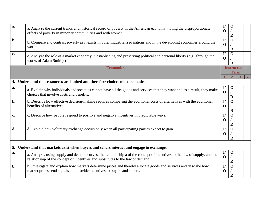| a.             | a. Analyze the current trends and historical record of poverty in the American economy, noting the disproportionate<br>effects of poverty in minority communities and with women.                            | $\mathbf{I}/$<br>$\mathbf 0$ | $\mathbf 0$<br>$\mathbf R$  |                |  |
|----------------|--------------------------------------------------------------------------------------------------------------------------------------------------------------------------------------------------------------|------------------------------|-----------------------------|----------------|--|
| b.             | b. Compare and contrast poverty as it exists in other industrialized nations and in the developing economies around the<br>world.                                                                            | $\mathbf{I}/$<br>$\mathbf 0$ | $\mathbf{O}$<br>$\mathbf R$ |                |  |
| c.             | c. Analyze the role of a market economy in establishing and preserving political and personal liberty (e.g., through the<br>works of Adam Smith).)                                                           | $\mathbf{I}/$<br>$\mathbf 0$ | $\mathbf{O}$<br>$\bf R$     |                |  |
|                | <b>Economics</b>                                                                                                                                                                                             | <b>Instructional</b>         |                             |                |  |
|                |                                                                                                                                                                                                              | <b>Term</b><br>3             |                             | $\overline{4}$ |  |
|                | 4. Understand that resources are limited and therefore choices must be made.                                                                                                                                 |                              |                             |                |  |
| a.             | a. Explain why individuals and societies cannot have all the goods and services that they want and as a result, they make<br>choices that involve costs and benefits.                                        | $\mathbf{I}/$<br>$\mathbf 0$ | $\mathbf 0$<br>$\mathbf R$  |                |  |
| $b$ .          | b. Describe how effective decision-making requires comparing the additional costs of alternatives with the additional<br>benefits of alternatives.                                                           | $\mathbf{I}$<br>$\mathbf 0$  | $\mathbf 0$<br>$\mathbf R$  |                |  |
| $\mathbf{c}$ . | c. Describe how people respond to positive and negative incentives in predictable ways.                                                                                                                      | $\mathbf{I}/$<br>$\mathbf 0$ | $\mathbf 0$<br>$\mathbf R$  |                |  |
| d.             | d. Explain how voluntary exchange occurs only when all participating parties expect to gain.                                                                                                                 | $\mathbf{I}/$<br>$\bf{0}$    | $\mathbf{O}$<br>$\bf{R}$    |                |  |
|                | 5. Understand that markets exist when buyers and sellers interact and engage in exchange.                                                                                                                    |                              |                             |                |  |
| a.             | a. Analyze, using supply and demand curves, the relationship a of the concept of incentives to the law of supply, and the<br>relationship of the concept of incentives and substitutes to the law of demand. | $\mathbf{I}/$<br>$\mathbf 0$ | $\mathbf 0$<br>$\mathbf R$  |                |  |
| b.             | b. Investigate and explain how markets determine prices and thereby allocate goods and services and describe how<br>market prices send signals and provide incentives to buyers and sellers.                 | $\mathbf{I}/$<br>$\mathbf 0$ | $\mathbf{0}$<br>$\bf R$     |                |  |